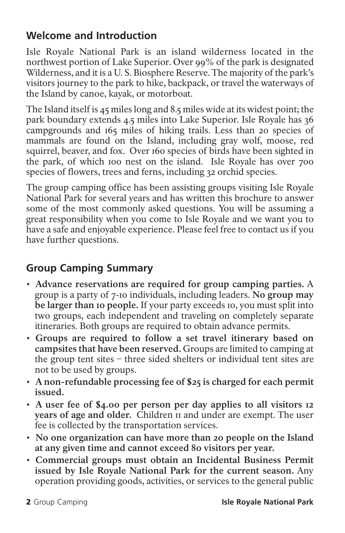# **Welcome and Introduction**

Isle Royale National Park is an island wilderness located in the northwest portion of Lake Superior. Over 99% of the park is designated Wilderness, and it is a U. S. Biosphere Reserve. The majority of the park's visitors journey to the park to hike, backpack, or travel the waterways of the Island by canoe, kayak, or motorboat.

The Island itself is 45 miles long and 8.5 miles wide at its widest point; the park boundary extends 4.5 miles into Lake Superior. Isle Royale has 36 campgrounds and 165 miles of hiking trails. Less than 20 species of mammals are found on the Island, including gray wolf, moose, red squirrel, beaver, and fox. Over 160 species of birds have been sighted in the park, of which 100 nest on the island. Isle Royale has over 700 species of flowers, trees and ferns, including 32 orchid species.

The group camping office has been assisting groups visiting Isle Royale National Park for several years and has written this brochure to answer some of the most commonly asked questions. You will be assuming a great responsibility when you come to Isle Royale and we want you to have a safe and enjoyable experience. Please feel free to contact us if you have further questions.

# **Group Camping Summary**

- **Advance reservations are required for group camping parties.** A group is a party of 7-10 individuals, including leaders. **No group may be larger than 10 people.** If your party exceeds 10, you must split into two groups, each independent and traveling on completely separate itineraries. Both groups are required to obtain advance permits.
- **Groups are required to follow a set travel itinerary based on campsites that have been reserved.** Groups are limited to camping at the group tent sites – three sided shelters or individual tent sites are not to be used by groups.
- **A non-refundable processing fee of \$25 is charged for each permit issued.**
- **A user fee of \$4.00 per person per day applies to all visitors 12 years of age and older.** Children 11 and under are exempt. The user fee is collected by the transportation services.
- **No one organization can have more than 20 people on the Island at any given time and cannot exceed 80 visitors per year.**
- **Commercial groups must obtain an Incidental Business Permit issued by Isle Royale National Park for the current season.** Any operation providing goods, activities, or services to the general public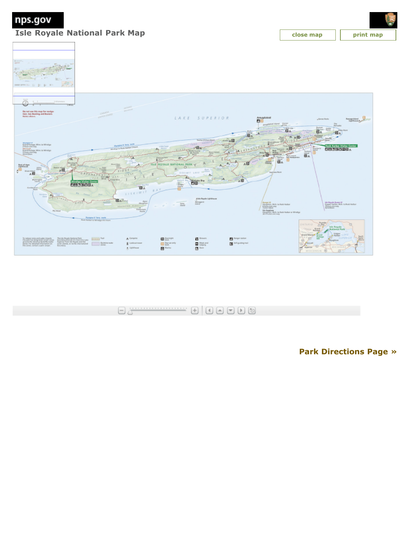nps.gov

**Isle Royale National Park Map**

**close map print map**



**[Park Directions Page »](javascript:void(0);)**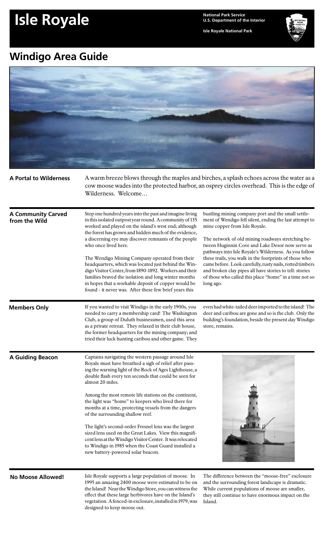# **Isle Royale**

**National Park Service<br>U.S. Department of the Interior** 

**Isle Royale National Park** 

# **Windigo Area Guide**



|                                            | cow moose wades into the protected harbor, an osprey circles overhead. This is the edge of<br>Wilderness. Welcome                                                                                                                                                                                                                                                                                                                                                                                                                                                                                                                                                                                                                              |                                                                                                                                                                                                                                                                                                                                                                                                                                                                                                                                                                        |
|--------------------------------------------|------------------------------------------------------------------------------------------------------------------------------------------------------------------------------------------------------------------------------------------------------------------------------------------------------------------------------------------------------------------------------------------------------------------------------------------------------------------------------------------------------------------------------------------------------------------------------------------------------------------------------------------------------------------------------------------------------------------------------------------------|------------------------------------------------------------------------------------------------------------------------------------------------------------------------------------------------------------------------------------------------------------------------------------------------------------------------------------------------------------------------------------------------------------------------------------------------------------------------------------------------------------------------------------------------------------------------|
| <b>A Community Carved</b><br>from the Wild | Step one hundred years into the past and imagine living<br>in this isolated outpost year round. A community of 135<br>worked and played on the island's west end; although<br>the forest has grown and hidden much of the evidence,<br>a discerning eye may discover remnants of the people<br>who once lived here.<br>The Wendigo Mining Company operated from their<br>headquarters, which was located just behind the Win-<br>digo Visitor Center, from 1890-1892. Workers and their<br>families braved the isolation and long winter months<br>in hopes that a workable deposit of copper would be<br>found - it never was. After these few brief years this                                                                               | bustling mining company port and the small settle-<br>ment of Wendigo fell silent, ending the last attempt to<br>mine copper from Isle Royale.<br>The network of old mining roadways stretching be-<br>tween Huginnin Cove and Lake Desor now serve as<br>pathways into Isle Royale's Wilderness. As you follow<br>these trails, you walk in the footprints of those who<br>came before. Look carefully, rusty nails, rotted timbers<br>and broken clay pipes all have stories to tell: stories<br>of those who called this place "home" in a time not so<br>long ago. |
| <b>Members Only</b>                        | If you wanted to visit Windigo in the early 1900s, you<br>needed to carry a membership card! The Washington<br>Club, a group of Duluth businessmen, used this area<br>as a private retreat. They relaxed in their club house,<br>the former headquarters for the mining company; and<br>tried their luck hunting caribou and other game. They                                                                                                                                                                                                                                                                                                                                                                                                  | even had white-tailed deer imported to the island! The<br>deer and caribou are gone and so is the club. Only the<br>building's foundation, beside the present day Windigo<br>store, remains.                                                                                                                                                                                                                                                                                                                                                                           |
| <b>A Guiding Beacon</b>                    | Captains navigating the western passage around Isle<br>Royale must have breathed a sigh of relief after pass-<br>ing the warning light of the Rock of Ages Lighthouse, a<br>double flash every ten seconds that could be seen for<br>almost 20 miles.<br>Among the most remote life stations on the continent,<br>the light was "home" to keepers who lived there for<br>months at a time, protecting vessels from the dangers<br>of the surrounding shallow reef.<br>The light's second-order Fresnel lens was the largest<br>sized lens used on the Great Lakes. View this magnifi-<br>cent lens at the Windigo Visitor Center. It was relocated<br>to Windigo in 1985 when the Coast Guard installed a<br>new battery-powered solar beacon. |                                                                                                                                                                                                                                                                                                                                                                                                                                                                                                                                                                        |
| <b>No Moose Allowed!</b>                   | Isle Royale supports a large population of moose. In<br>1995 an amazing 2400 moose were estimated to be on<br>the Island! Near the Windigo Store, you can witness the<br>effect that these large herbivores have on the Island's                                                                                                                                                                                                                                                                                                                                                                                                                                                                                                               | The difference between the "moose-free" exclosure<br>and the surrounding forest landscape is dramatic.<br>While current populations of moose are smaller,<br>they still continue to have enormous impact on the                                                                                                                                                                                                                                                                                                                                                        |

vegetation. A fenced-in exclosure, installed in 1979, was

designed to keep moose out.

Island.